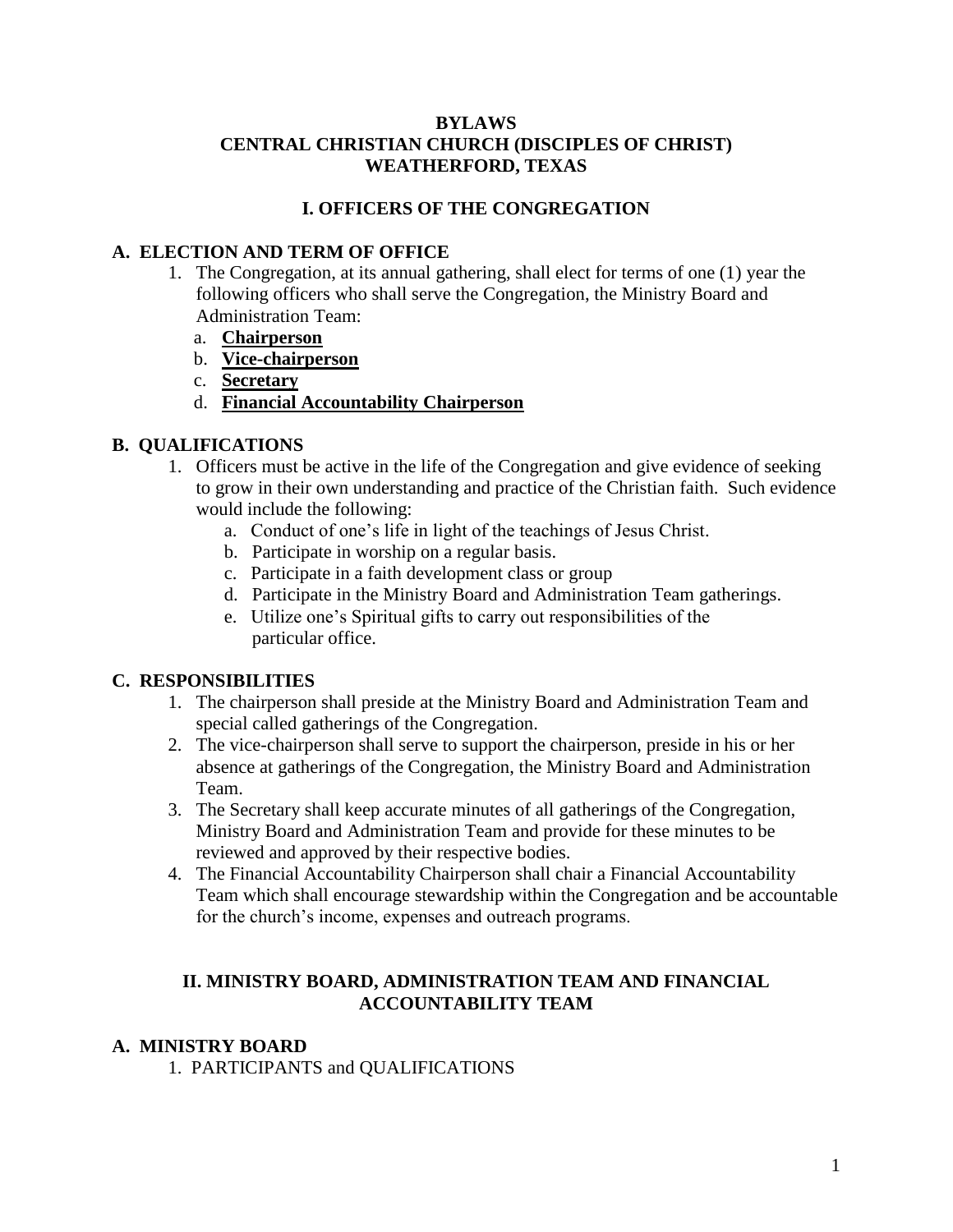#### **BYLAWS CENTRAL CHRISTIAN CHURCH (DISCIPLES OF CHRIST) WEATHERFORD, TEXAS**

## **I. OFFICERS OF THE CONGREGATION**

## **A. ELECTION AND TERM OF OFFICE**

- 1. The Congregation, at its annual gathering, shall elect for terms of one (1) year the following officers who shall serve the Congregation, the Ministry Board and Administration Team:
	- a. **Chairperson**
	- b. **Vice-chairperson**
	- c. **Secretary**
	- d. **Financial Accountability Chairperson**

## **B. QUALIFICATIONS**

- 1. Officers must be active in the life of the Congregation and give evidence of seeking to grow in their own understanding and practice of the Christian faith. Such evidence would include the following:
	- a. Conduct of one's life in light of the teachings of Jesus Christ.
	- b. Participate in worship on a regular basis.
	- c. Participate in a faith development class or group
	- d. Participate in the Ministry Board and Administration Team gatherings.
	- e. Utilize one's Spiritual gifts to carry out responsibilities of the particular office.

## **C. RESPONSIBILITIES**

- 1. The chairperson shall preside at the Ministry Board and Administration Team and special called gatherings of the Congregation.
- 2. The vice-chairperson shall serve to support the chairperson, preside in his or her absence at gatherings of the Congregation, the Ministry Board and Administration Team.
- 3. The Secretary shall keep accurate minutes of all gatherings of the Congregation, Ministry Board and Administration Team and provide for these minutes to be reviewed and approved by their respective bodies.
- 4. The Financial Accountability Chairperson shall chair a Financial Accountability Team which shall encourage stewardship within the Congregation and be accountable for the church's income, expenses and outreach programs.

#### **II. MINISTRY BOARD, ADMINISTRATION TEAM AND FINANCIAL ACCOUNTABILITY TEAM**

## **A. MINISTRY BOARD**

1. PARTICIPANTS and QUALIFICATIONS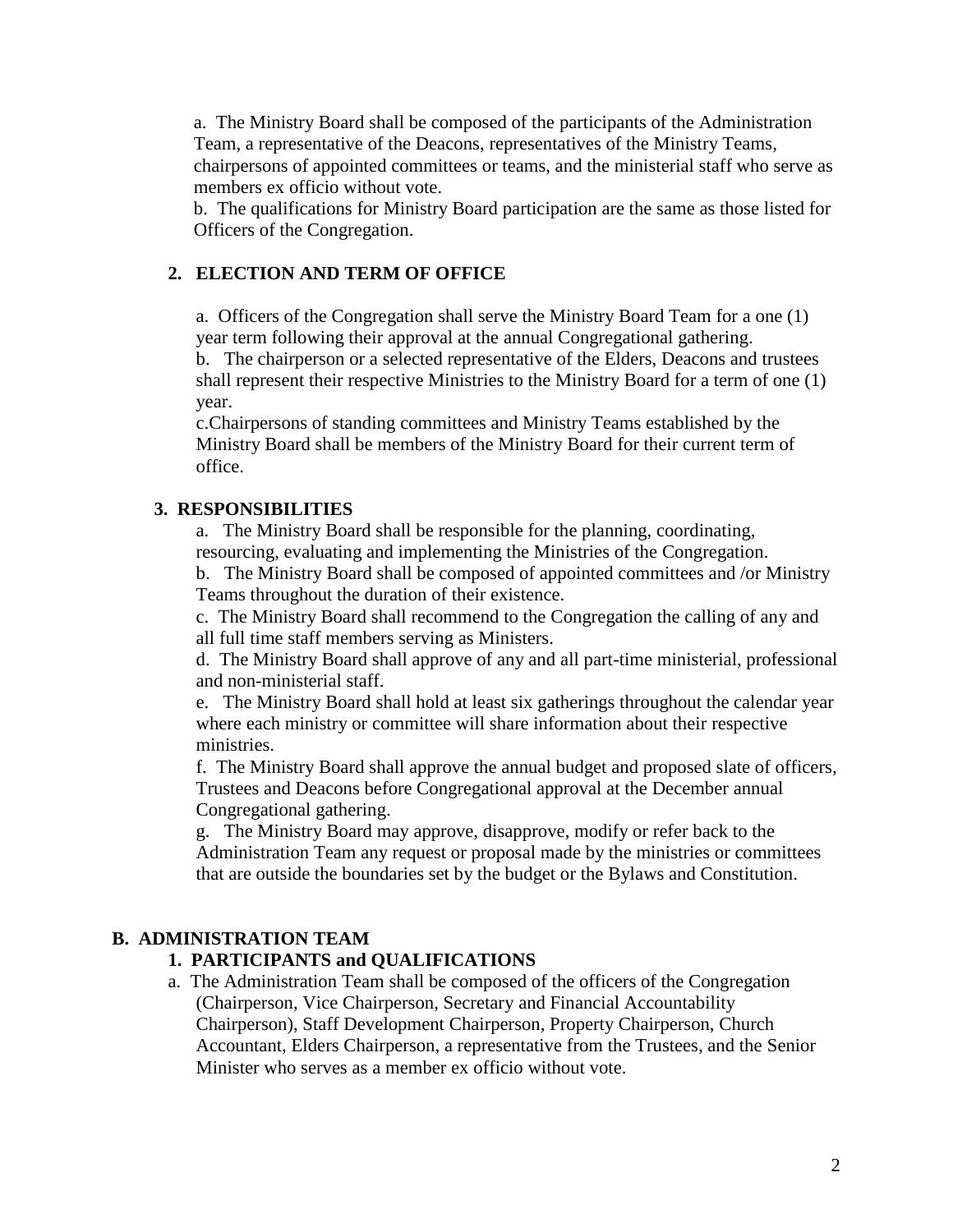a. The Ministry Board shall be composed of the participants of the Administration Team, a representative of the Deacons, representatives of the Ministry Teams, chairpersons of appointed committees or teams, and the ministerial staff who serve as members ex officio without vote.

b. The qualifications for Ministry Board participation are the same as those listed for Officers of the Congregation.

## **2. ELECTION AND TERM OF OFFICE**

a. Officers of the Congregation shall serve the Ministry Board Team for a one (1) year term following their approval at the annual Congregational gathering.

b. The chairperson or a selected representative of the Elders, Deacons and trustees shall represent their respective Ministries to the Ministry Board for a term of one (1) year.

c.Chairpersons of standing committees and Ministry Teams established by the Ministry Board shall be members of the Ministry Board for their current term of office.

## **3. RESPONSIBILITIES**

a. The Ministry Board shall be responsible for the planning, coordinating, resourcing, evaluating and implementing the Ministries of the Congregation.

b. The Ministry Board shall be composed of appointed committees and /or Ministry Teams throughout the duration of their existence.

c. The Ministry Board shall recommend to the Congregation the calling of any and all full time staff members serving as Ministers.

d. The Ministry Board shall approve of any and all part-time ministerial, professional and non-ministerial staff.

e. The Ministry Board shall hold at least six gatherings throughout the calendar year where each ministry or committee will share information about their respective ministries.

f. The Ministry Board shall approve the annual budget and proposed slate of officers, Trustees and Deacons before Congregational approval at the December annual Congregational gathering.

g. The Ministry Board may approve, disapprove, modify or refer back to the Administration Team any request or proposal made by the ministries or committees that are outside the boundaries set by the budget or the Bylaws and Constitution.

## **B. ADMINISTRATION TEAM**

## **1. PARTICIPANTS and QUALIFICATIONS**

a. The Administration Team shall be composed of the officers of the Congregation (Chairperson, Vice Chairperson, Secretary and Financial Accountability Chairperson), Staff Development Chairperson, Property Chairperson, Church Accountant, Elders Chairperson, a representative from the Trustees, and the Senior Minister who serves as a member ex officio without vote.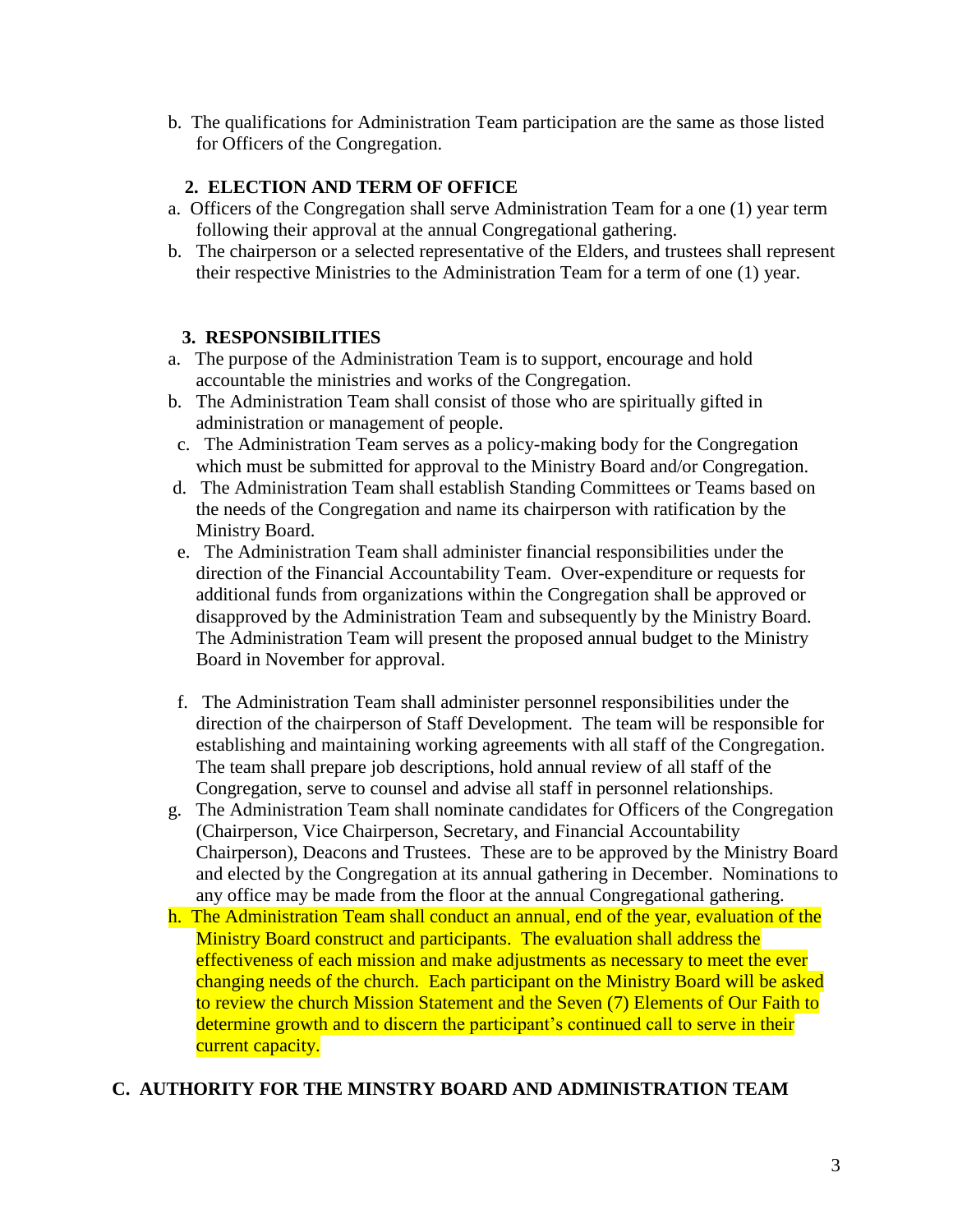b. The qualifications for Administration Team participation are the same as those listed for Officers of the Congregation.

## **2. ELECTION AND TERM OF OFFICE**

- a. Officers of the Congregation shall serve Administration Team for a one (1) year term following their approval at the annual Congregational gathering.
- b. The chairperson or a selected representative of the Elders, and trustees shall represent their respective Ministries to the Administration Team for a term of one (1) year.

## **3. RESPONSIBILITIES**

- a. The purpose of the Administration Team is to support, encourage and hold accountable the ministries and works of the Congregation.
- b. The Administration Team shall consist of those who are spiritually gifted in administration or management of people.
- c. The Administration Team serves as a policy-making body for the Congregation which must be submitted for approval to the Ministry Board and/or Congregation.
- d. The Administration Team shall establish Standing Committees or Teams based on the needs of the Congregation and name its chairperson with ratification by the Ministry Board.
- e. The Administration Team shall administer financial responsibilities under the direction of the Financial Accountability Team. Over-expenditure or requests for additional funds from organizations within the Congregation shall be approved or disapproved by the Administration Team and subsequently by the Ministry Board. The Administration Team will present the proposed annual budget to the Ministry Board in November for approval.
- f. The Administration Team shall administer personnel responsibilities under the direction of the chairperson of Staff Development. The team will be responsible for establishing and maintaining working agreements with all staff of the Congregation. The team shall prepare job descriptions, hold annual review of all staff of the Congregation, serve to counsel and advise all staff in personnel relationships.
- g. The Administration Team shall nominate candidates for Officers of the Congregation (Chairperson, Vice Chairperson, Secretary, and Financial Accountability Chairperson), Deacons and Trustees. These are to be approved by the Ministry Board and elected by the Congregation at its annual gathering in December. Nominations to any office may be made from the floor at the annual Congregational gathering.
- h. The Administration Team shall conduct an annual, end of the year, evaluation of the Ministry Board construct and participants. The evaluation shall address the effectiveness of each mission and make adjustments as necessary to meet the ever changing needs of the church. Each participant on the Ministry Board will be asked to review the church Mission Statement and the Seven (7) Elements of Our Faith to determine growth and to discern the participant's continued call to serve in their current capacity.

# **C. AUTHORITY FOR THE MINSTRY BOARD AND ADMINISTRATION TEAM**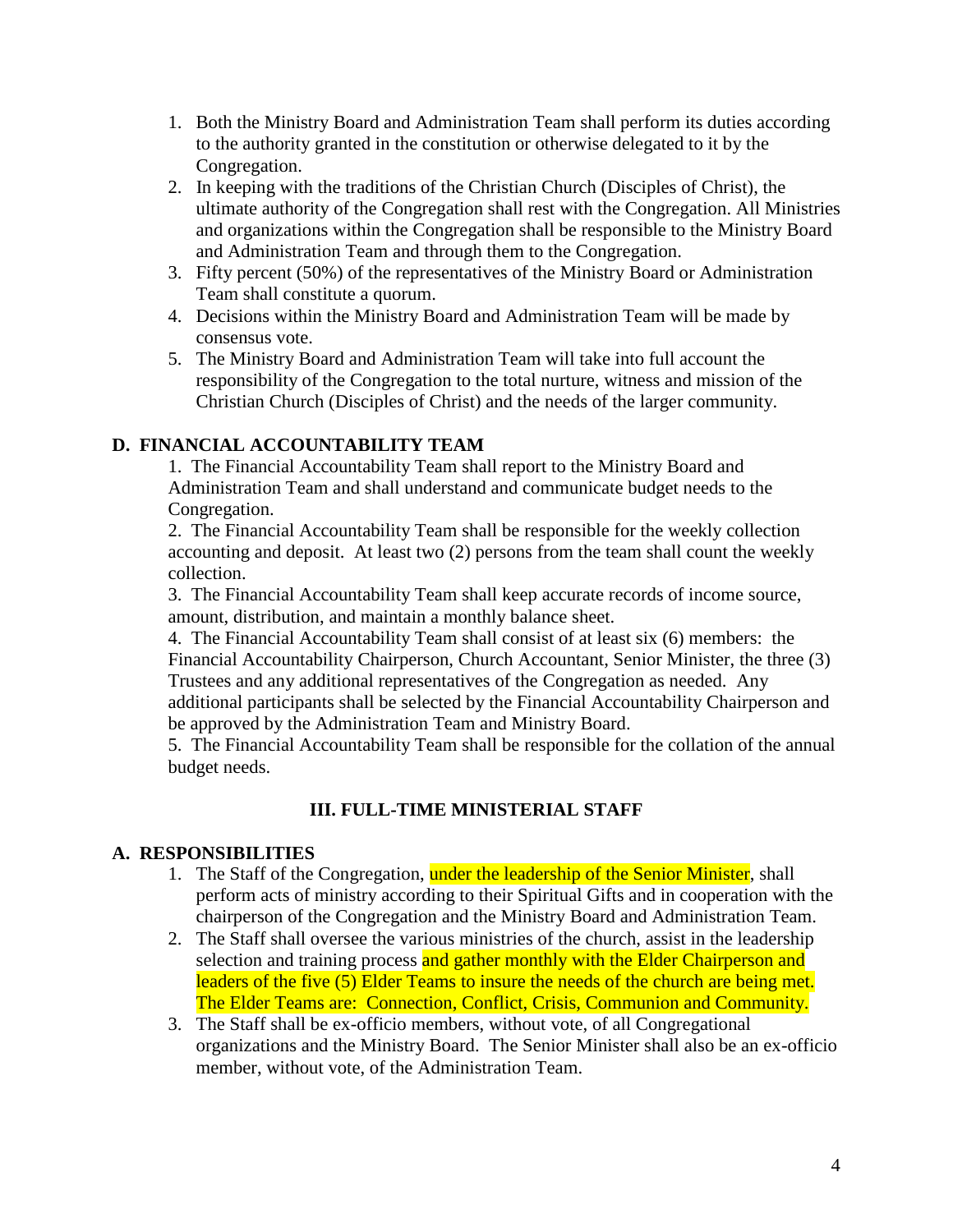- 1. Both the Ministry Board and Administration Team shall perform its duties according to the authority granted in the constitution or otherwise delegated to it by the Congregation.
- 2. In keeping with the traditions of the Christian Church (Disciples of Christ), the ultimate authority of the Congregation shall rest with the Congregation. All Ministries and organizations within the Congregation shall be responsible to the Ministry Board and Administration Team and through them to the Congregation.
- 3. Fifty percent (50%) of the representatives of the Ministry Board or Administration Team shall constitute a quorum.
- 4. Decisions within the Ministry Board and Administration Team will be made by consensus vote.
- 5. The Ministry Board and Administration Team will take into full account the responsibility of the Congregation to the total nurture, witness and mission of the Christian Church (Disciples of Christ) and the needs of the larger community.

## **D. FINANCIAL ACCOUNTABILITY TEAM**

1. The Financial Accountability Team shall report to the Ministry Board and Administration Team and shall understand and communicate budget needs to the Congregation.

2. The Financial Accountability Team shall be responsible for the weekly collection accounting and deposit. At least two (2) persons from the team shall count the weekly collection.

3. The Financial Accountability Team shall keep accurate records of income source, amount, distribution, and maintain a monthly balance sheet.

4. The Financial Accountability Team shall consist of at least six (6) members: the Financial Accountability Chairperson, Church Accountant, Senior Minister, the three (3) Trustees and any additional representatives of the Congregation as needed. Any additional participants shall be selected by the Financial Accountability Chairperson and be approved by the Administration Team and Ministry Board.

5. The Financial Accountability Team shall be responsible for the collation of the annual budget needs.

# **III. FULL-TIME MINISTERIAL STAFF**

## **A. RESPONSIBILITIES**

- 1. The Staff of the Congregation, under the leadership of the Senior Minister, shall perform acts of ministry according to their Spiritual Gifts and in cooperation with the chairperson of the Congregation and the Ministry Board and Administration Team.
- 2. The Staff shall oversee the various ministries of the church, assist in the leadership selection and training process and gather monthly with the Elder Chairperson and leaders of the five (5) Elder Teams to insure the needs of the church are being met. The Elder Teams are: Connection, Conflict, Crisis, Communion and Community.
- 3. The Staff shall be ex-officio members, without vote, of all Congregational organizations and the Ministry Board. The Senior Minister shall also be an ex-officio member, without vote, of the Administration Team.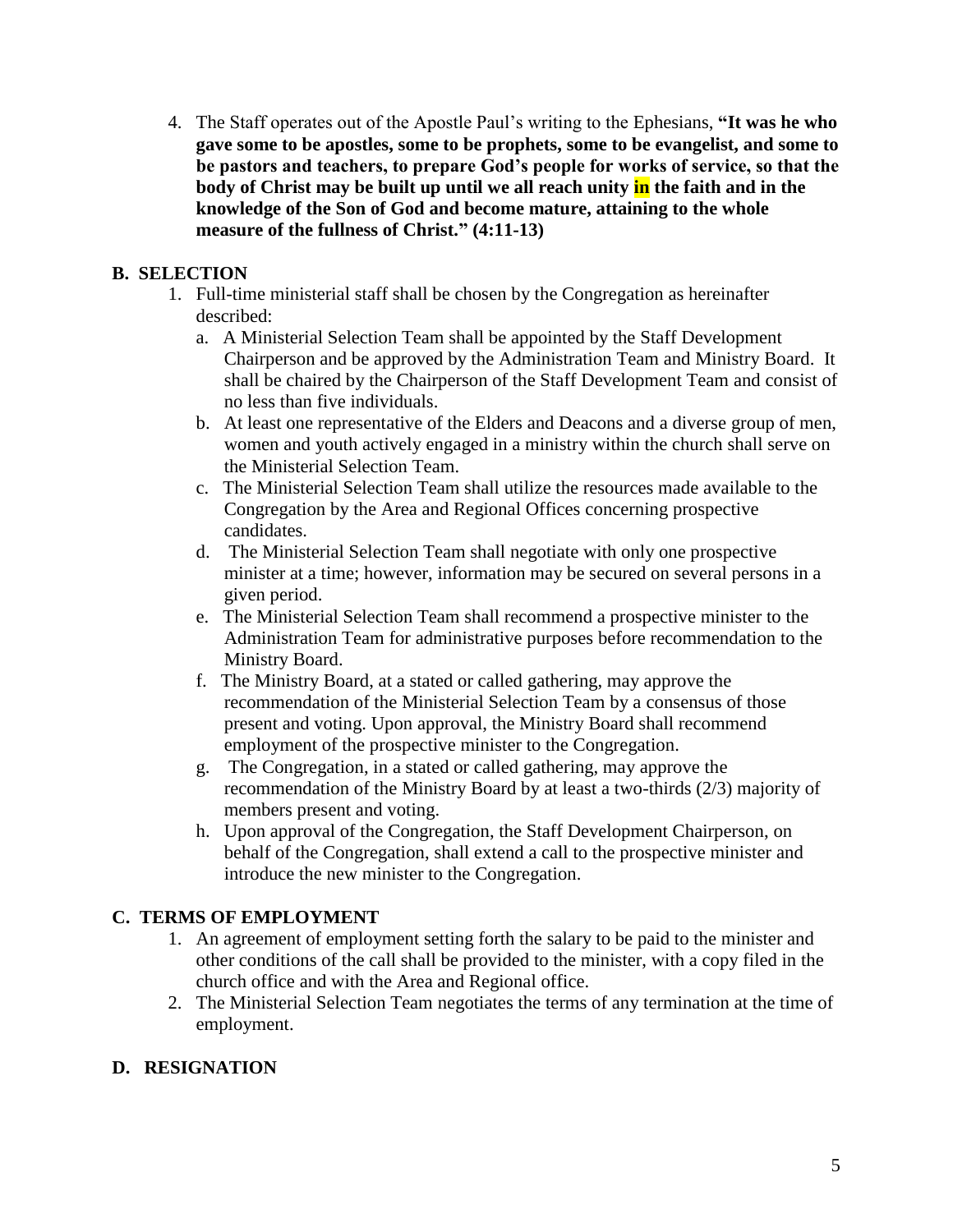4. The Staff operates out of the Apostle Paul's writing to the Ephesians, **"It was he who gave some to be apostles, some to be prophets, some to be evangelist, and some to be pastors and teachers, to prepare God's people for works of service, so that the body of Christ may be built up until we all reach unity in the faith and in the knowledge of the Son of God and become mature, attaining to the whole measure of the fullness of Christ." (4:11-13)**

## **B. SELECTION**

- 1. Full-time ministerial staff shall be chosen by the Congregation as hereinafter described:
	- a. A Ministerial Selection Team shall be appointed by the Staff Development Chairperson and be approved by the Administration Team and Ministry Board. It shall be chaired by the Chairperson of the Staff Development Team and consist of no less than five individuals.
	- b. At least one representative of the Elders and Deacons and a diverse group of men, women and youth actively engaged in a ministry within the church shall serve on the Ministerial Selection Team.
	- c. The Ministerial Selection Team shall utilize the resources made available to the Congregation by the Area and Regional Offices concerning prospective candidates.
	- d. The Ministerial Selection Team shall negotiate with only one prospective minister at a time; however, information may be secured on several persons in a given period.
	- e. The Ministerial Selection Team shall recommend a prospective minister to the Administration Team for administrative purposes before recommendation to the Ministry Board.
	- f. The Ministry Board, at a stated or called gathering, may approve the recommendation of the Ministerial Selection Team by a consensus of those present and voting. Upon approval, the Ministry Board shall recommend employment of the prospective minister to the Congregation.
	- g. The Congregation, in a stated or called gathering, may approve the recommendation of the Ministry Board by at least a two-thirds (2/3) majority of members present and voting.
	- h. Upon approval of the Congregation, the Staff Development Chairperson, on behalf of the Congregation, shall extend a call to the prospective minister and introduce the new minister to the Congregation.

# **C. TERMS OF EMPLOYMENT**

- 1. An agreement of employment setting forth the salary to be paid to the minister and other conditions of the call shall be provided to the minister, with a copy filed in the church office and with the Area and Regional office.
- 2. The Ministerial Selection Team negotiates the terms of any termination at the time of employment.

# **D. RESIGNATION**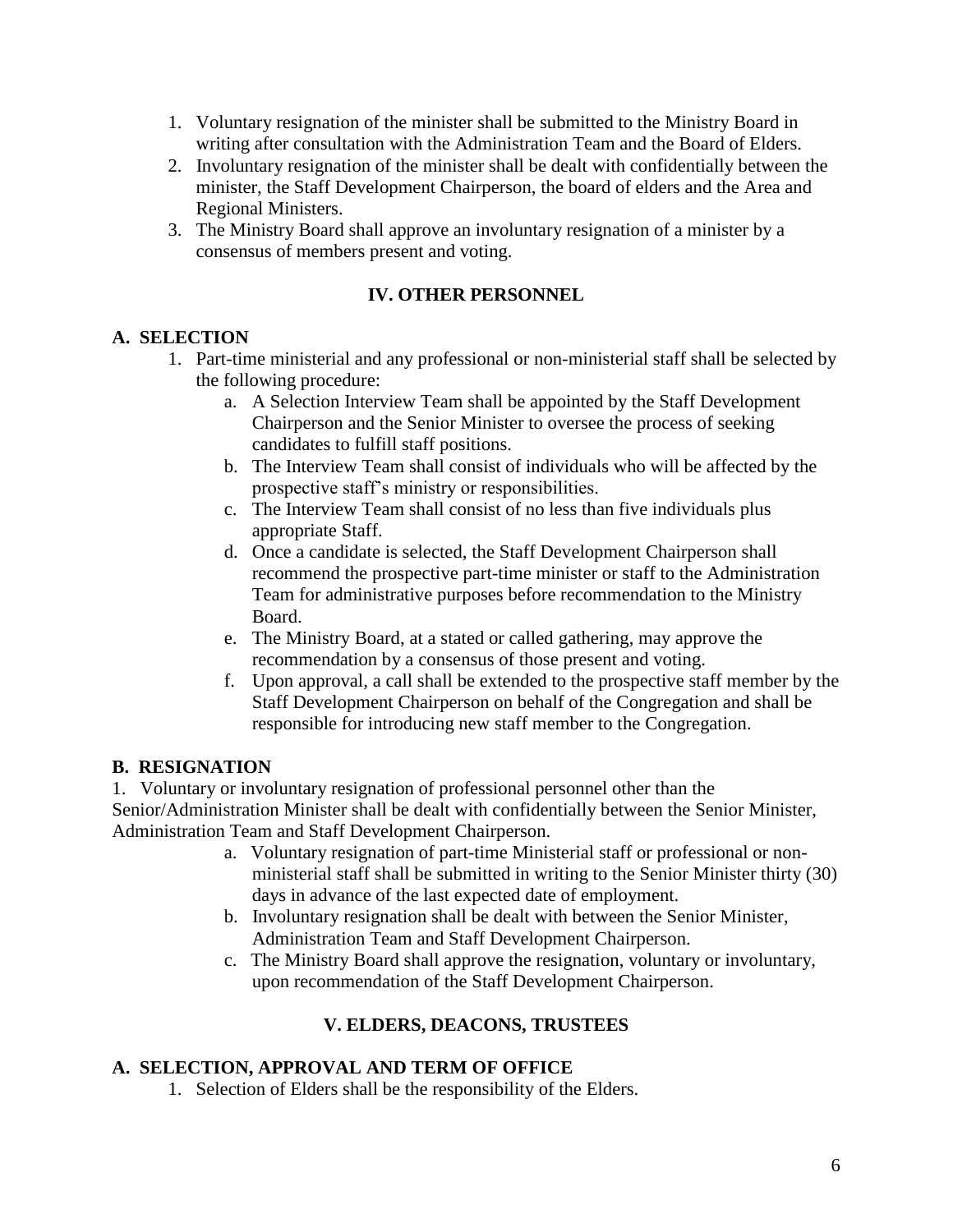- 1. Voluntary resignation of the minister shall be submitted to the Ministry Board in writing after consultation with the Administration Team and the Board of Elders.
- 2. Involuntary resignation of the minister shall be dealt with confidentially between the minister, the Staff Development Chairperson, the board of elders and the Area and Regional Ministers.
- 3. The Ministry Board shall approve an involuntary resignation of a minister by a consensus of members present and voting.

## **IV. OTHER PERSONNEL**

## **A. SELECTION**

- 1. Part-time ministerial and any professional or non-ministerial staff shall be selected by the following procedure:
	- a. A Selection Interview Team shall be appointed by the Staff Development Chairperson and the Senior Minister to oversee the process of seeking candidates to fulfill staff positions.
	- b. The Interview Team shall consist of individuals who will be affected by the prospective staff's ministry or responsibilities.
	- c. The Interview Team shall consist of no less than five individuals plus appropriate Staff.
	- d. Once a candidate is selected, the Staff Development Chairperson shall recommend the prospective part-time minister or staff to the Administration Team for administrative purposes before recommendation to the Ministry Board.
	- e. The Ministry Board, at a stated or called gathering, may approve the recommendation by a consensus of those present and voting.
	- f. Upon approval, a call shall be extended to the prospective staff member by the Staff Development Chairperson on behalf of the Congregation and shall be responsible for introducing new staff member to the Congregation.

## **B. RESIGNATION**

1. Voluntary or involuntary resignation of professional personnel other than the Senior/Administration Minister shall be dealt with confidentially between the Senior Minister, Administration Team and Staff Development Chairperson.

- a. Voluntary resignation of part-time Ministerial staff or professional or nonministerial staff shall be submitted in writing to the Senior Minister thirty (30) days in advance of the last expected date of employment.
- b. Involuntary resignation shall be dealt with between the Senior Minister, Administration Team and Staff Development Chairperson.
- c. The Ministry Board shall approve the resignation, voluntary or involuntary, upon recommendation of the Staff Development Chairperson.

# **V. ELDERS, DEACONS, TRUSTEES**

## **A. SELECTION, APPROVAL AND TERM OF OFFICE**

1. Selection of Elders shall be the responsibility of the Elders.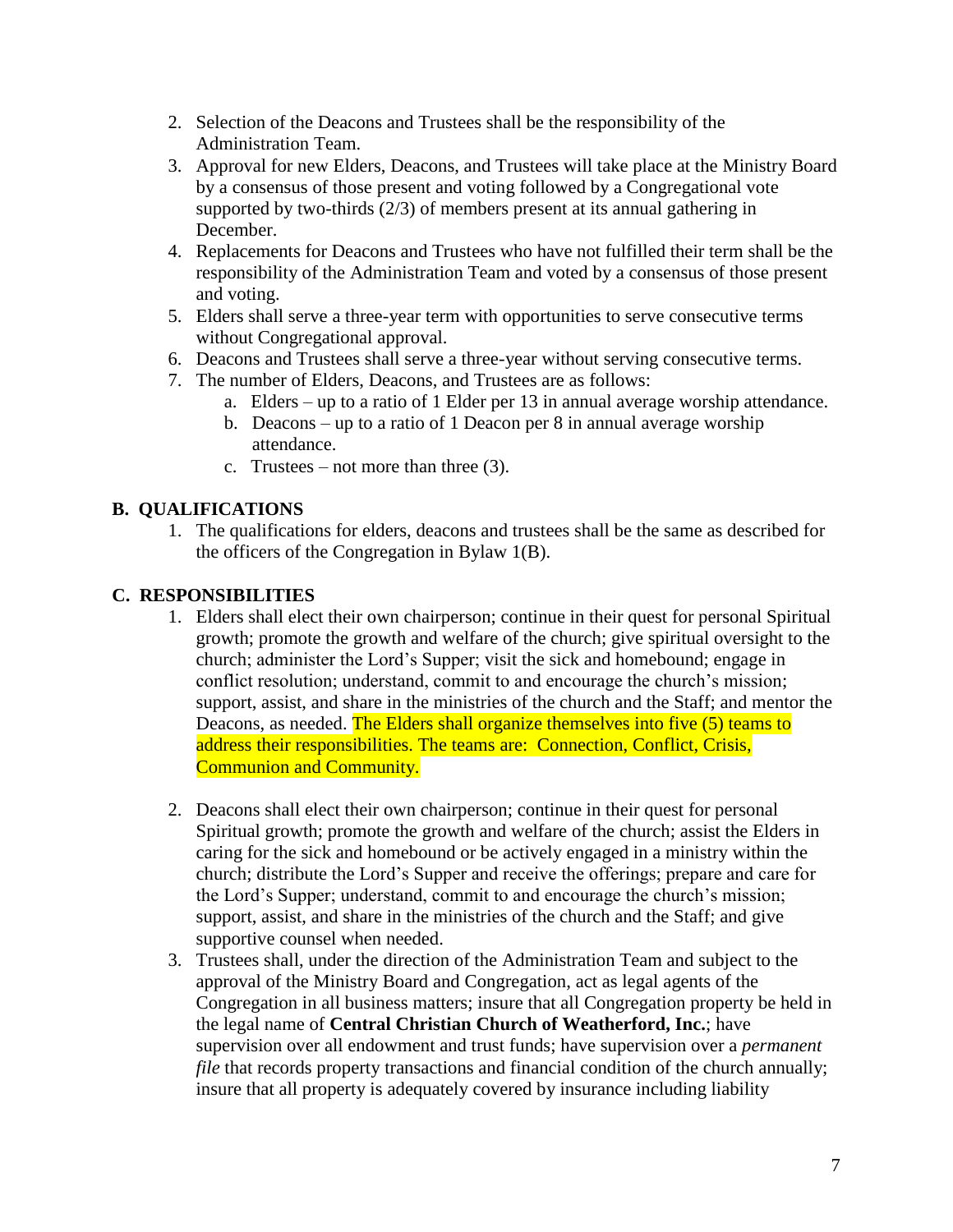- 2. Selection of the Deacons and Trustees shall be the responsibility of the Administration Team.
- 3. Approval for new Elders, Deacons, and Trustees will take place at the Ministry Board by a consensus of those present and voting followed by a Congregational vote supported by two-thirds (2/3) of members present at its annual gathering in December.
- 4. Replacements for Deacons and Trustees who have not fulfilled their term shall be the responsibility of the Administration Team and voted by a consensus of those present and voting.
- 5. Elders shall serve a three-year term with opportunities to serve consecutive terms without Congregational approval.
- 6. Deacons and Trustees shall serve a three-year without serving consecutive terms.
- 7. The number of Elders, Deacons, and Trustees are as follows:
	- a. Elders up to a ratio of 1 Elder per 13 in annual average worship attendance.
		- b. Deacons up to a ratio of 1 Deacon per 8 in annual average worship attendance.
		- c. Trustees not more than three  $(3)$ .

# **B. QUALIFICATIONS**

1. The qualifications for elders, deacons and trustees shall be the same as described for the officers of the Congregation in Bylaw 1(B).

# **C. RESPONSIBILITIES**

- 1. Elders shall elect their own chairperson; continue in their quest for personal Spiritual growth; promote the growth and welfare of the church; give spiritual oversight to the church; administer the Lord's Supper; visit the sick and homebound; engage in conflict resolution; understand, commit to and encourage the church's mission; support, assist, and share in the ministries of the church and the Staff; and mentor the Deacons, as needed. The Elders shall organize themselves into five (5) teams to address their responsibilities. The teams are: Connection, Conflict, Crisis, Communion and Community.
- 2. Deacons shall elect their own chairperson; continue in their quest for personal Spiritual growth; promote the growth and welfare of the church; assist the Elders in caring for the sick and homebound or be actively engaged in a ministry within the church; distribute the Lord's Supper and receive the offerings; prepare and care for the Lord's Supper; understand, commit to and encourage the church's mission; support, assist, and share in the ministries of the church and the Staff; and give supportive counsel when needed.
- 3. Trustees shall, under the direction of the Administration Team and subject to the approval of the Ministry Board and Congregation, act as legal agents of the Congregation in all business matters; insure that all Congregation property be held in the legal name of **Central Christian Church of Weatherford, Inc.**; have supervision over all endowment and trust funds; have supervision over a *permanent file* that records property transactions and financial condition of the church annually; insure that all property is adequately covered by insurance including liability